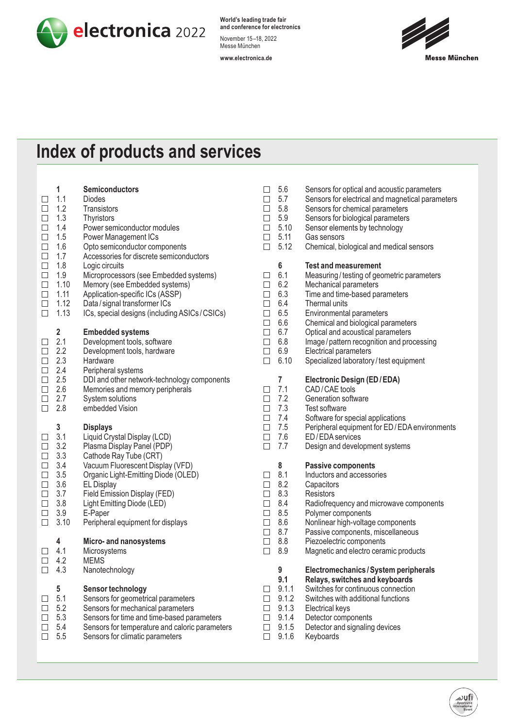

**World's leading trade fair and conference for electronics** November 15–18, 2022 Messe München

**www.electronica.de**



## **Index of products and services**

|        | 1                       | <b>Semiconductors</b>                          | $\Box$ | 5.6              | Sensors for optical and acoustic parameters      |
|--------|-------------------------|------------------------------------------------|--------|------------------|--------------------------------------------------|
| □      | 1.1                     | <b>Diodes</b>                                  | $\Box$ | 5.7              | Sensors for electrical and magnetical parameters |
| $\Box$ | 1.2                     | Transistors                                    | $\Box$ | 5.8              | Sensors for chemical parameters                  |
| $\Box$ | 1.3                     | Thyristors                                     | $\Box$ | 5.9              | Sensors for biological parameters                |
| $\Box$ | 1.4                     | Power semiconductor modules                    | $\Box$ | 5.10             | Sensor elements by technology                    |
| $\Box$ | 1.5                     | Power Management ICs                           | $\Box$ | 5.11             | Gas sensors                                      |
| $\Box$ | 1.6                     | Opto semiconductor components                  | $\Box$ | 5.12             | Chemical, biological and medical sensors         |
| $\Box$ | 1.7                     | Accessories for discrete semiconductors        |        |                  |                                                  |
| $\Box$ | 1.8                     | Logic circuits                                 |        | $\boldsymbol{6}$ | <b>Test and measurement</b>                      |
| $\Box$ | 1.9                     | Microprocessors (see Embedded systems)         | $\Box$ | 6.1              | Measuring/testing of geometric parameters        |
| $\Box$ | 1.10                    | Memory (see Embedded systems)                  | $\Box$ | 6.2              | Mechanical parameters                            |
| $\Box$ | 1.11                    | Application-specific ICs (ASSP)                | $\Box$ | 6.3              | Time and time-based parameters                   |
| $\Box$ | 1.12                    | Data / signal transformer ICs                  | $\Box$ | 6.4              | Thermal units                                    |
| $\Box$ | 1.13                    | ICs, special designs (including ASICs/CSICs)   | $\Box$ | 6.5              | Environmental parameters                         |
|        |                         |                                                | $\Box$ | 6.6              | Chemical and biological parameters               |
|        | $\overline{\mathbf{2}}$ | <b>Embedded systems</b>                        | $\Box$ | 6.7              | Optical and acoustical parameters                |
| $\Box$ | 2.1                     | Development tools, software                    | $\Box$ | 6.8              | Image / pattern recognition and processing       |
| $\Box$ | 2.2                     | Development tools, hardware                    | $\Box$ | 6.9              | Electrical parameters                            |
| $\Box$ | 2.3                     | Hardware                                       | $\Box$ | 6.10             | Specialized laboratory/test equipment            |
| $\Box$ | 2.4                     | Peripheral systems                             |        |                  |                                                  |
| $\Box$ | 2.5                     | DDI and other network-technology components    |        | $\overline{7}$   | Electronic Design (ED/EDA)                       |
| $\Box$ | 2.6                     | Memories and memory peripherals                | $\Box$ | 7.1              | CAD/CAE tools                                    |
| $\Box$ | 2.7                     | System solutions                               | $\Box$ | 7.2              | Generation software                              |
| $\Box$ | 2.8                     | embedded Vision                                | $\Box$ | 7.3              | Test software                                    |
|        |                         |                                                | $\Box$ | 7.4              | Software for special applications                |
|        | $\mathbf{3}$            | <b>Displays</b>                                | $\Box$ | 7.5              | Peripheral equipment for ED/EDA environments     |
| $\Box$ | 3.1                     | Liquid Crystal Display (LCD)                   | $\Box$ | 7.6              | ED/EDA services                                  |
| $\Box$ | 3.2                     | Plasma Display Panel (PDP)                     | $\Box$ | 7.7              | Design and development systems                   |
| $\Box$ | 3.3                     | Cathode Ray Tube (CRT)                         |        |                  |                                                  |
| $\Box$ | 3.4                     | Vacuum Fluorescent Display (VFD)               |        | 8                | <b>Passive components</b>                        |
| $\Box$ | 3.5                     | Organic Light-Emitting Diode (OLED)            | $\Box$ | 8.1              | Inductors and accessories                        |
| $\Box$ | 3.6                     | <b>EL Display</b>                              | $\Box$ | 8.2              | Capacitors                                       |
| $\Box$ | 3.7                     | Field Emission Display (FED)                   | $\Box$ | 8.3              | <b>Resistors</b>                                 |
| $\Box$ | 3.8                     | Light Emitting Diode (LED)                     | $\Box$ | 8.4              | Radiofrequency and microwave components          |
| $\Box$ | 3.9                     | E-Paper                                        | $\Box$ | 8.5              | Polymer components                               |
| □      | 3.10                    | Peripheral equipment for displays              | $\Box$ | 8.6              | Nonlinear high-voltage components                |
|        |                         |                                                | $\Box$ | 8.7              | Passive components, miscellaneous                |
|        | 4                       | Micro- and nanosystems                         | $\Box$ | 8.8              | Piezoelectric components                         |
| ⊔      | 4.1                     | Microsystems                                   | $\Box$ | 8.9              | Magnetic and electro ceramic products            |
| $\Box$ | 4.2                     | <b>MEMS</b>                                    |        |                  |                                                  |
| $\Box$ | 4.3                     | Nanotechnology                                 |        | 9                | Electromechanics / System peripherals            |
|        |                         |                                                |        | 9.1              | Relays, switches and keyboards                   |
|        | 5                       | Sensor technology                              |        | 9.1.1            | Switches for continuous connection               |
|        | 5.1                     | Sensors for geometrical parameters             | $\Box$ | 9.1.2            | Switches with additional functions               |
|        | 5.2                     | Sensors for mechanical parameters              | $\Box$ | 9.1.3            | Electrical keys                                  |
|        | 5.3                     | Sensors for time and time-based parameters     | $\Box$ | 9.1.4            | Detector components                              |
| ⊔      | 5.4                     | Sensors for temperature and caloric parameters |        | 9.1.5            | Detector and signaling devices                   |
| ⊔      | 5.5                     | Sensors for climatic parameters                | $\Box$ | 9.1.6            | Keyboards                                        |
|        |                         |                                                |        |                  |                                                  |
|        |                         |                                                |        |                  |                                                  |